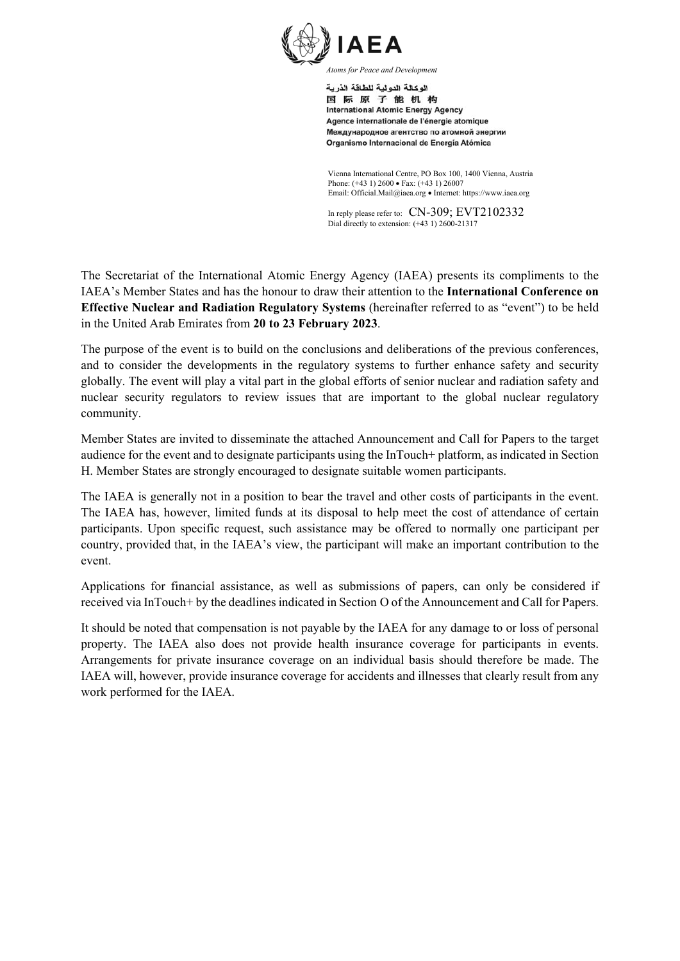

اله كالة الده لبة للطاقة الذرية 国际原子能机构 **International Atomic Energy Agency** Agence internationale de l'énergie atomique Международное агентство по атомной энергии Organismo Internacional de Energía Atómica

Vienna International Centre, PO Box 100, 1400 Vienna, Austria Phone: (+43 1) 2600 • Fax: (+43 1) 26007 Email: Official.Mail@iaea.org · Internet: https://www.iaea.org

In reply please refer to: CN-309; EVT2102332 Dial directly to extension: (+43 1) 2600-21317

The Secretariat of the International Atomic Energy Agency (IAEA) presents its compliments to the IAEA's Member States and has the honour to draw their attention to the **International Conference on Effective Nuclear and Radiation Regulatory Systems** (hereinafter referred to as "event") to be held in the United Arab Emirates from **20 to 23 February 2023**.

The purpose of the event is to build on the conclusions and deliberations of the previous conferences, and to consider the developments in the regulatory systems to further enhance safety and security globally. The event will play a vital part in the global efforts of senior nuclear and radiation safety and nuclear security regulators to review issues that are important to the global nuclear regulatory community.

Member States are invited to disseminate the attached Announcement and Call for Papers to the target audience for the event and to designate participants using the InTouch+ platform, as indicated in Section H. Member States are strongly encouraged to designate suitable women participants.

The IAEA is generally not in a position to bear the travel and other costs of participants in the event. The IAEA has, however, limited funds at its disposal to help meet the cost of attendance of certain participants. Upon specific request, such assistance may be offered to normally one participant per country, provided that, in the IAEA's view, the participant will make an important contribution to the event.

Applications for financial assistance, as well as submissions of papers, can only be considered if received via InTouch+ by the deadlines indicated in Section O of the Announcement and Call for Papers.

It should be noted that compensation is not payable by the IAEA for any damage to or loss of personal property. The IAEA also does not provide health insurance coverage for participants in events. Arrangements for private insurance coverage on an individual basis should therefore be made. The IAEA will, however, provide insurance coverage for accidents and illnesses that clearly result from any work performed for the IAEA.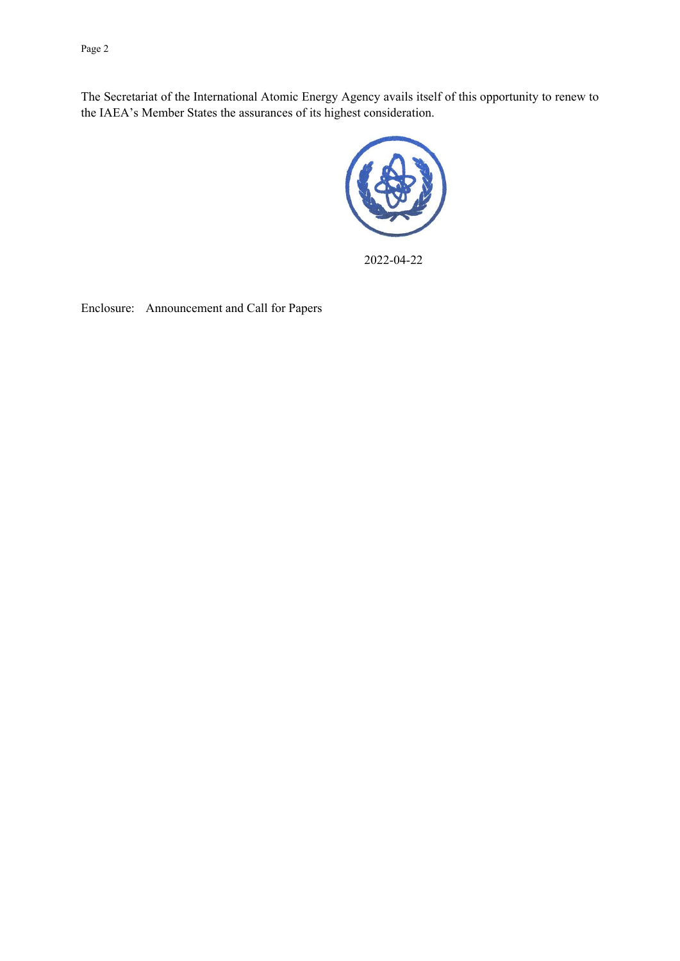Page 2

The Secretariat of the International Atomic Energy Agency avails itself of this opportunity to renew to the IAEA's Member States the assurances of its highest consideration.



2022-04-22

Enclosure: Announcement and Call for Papers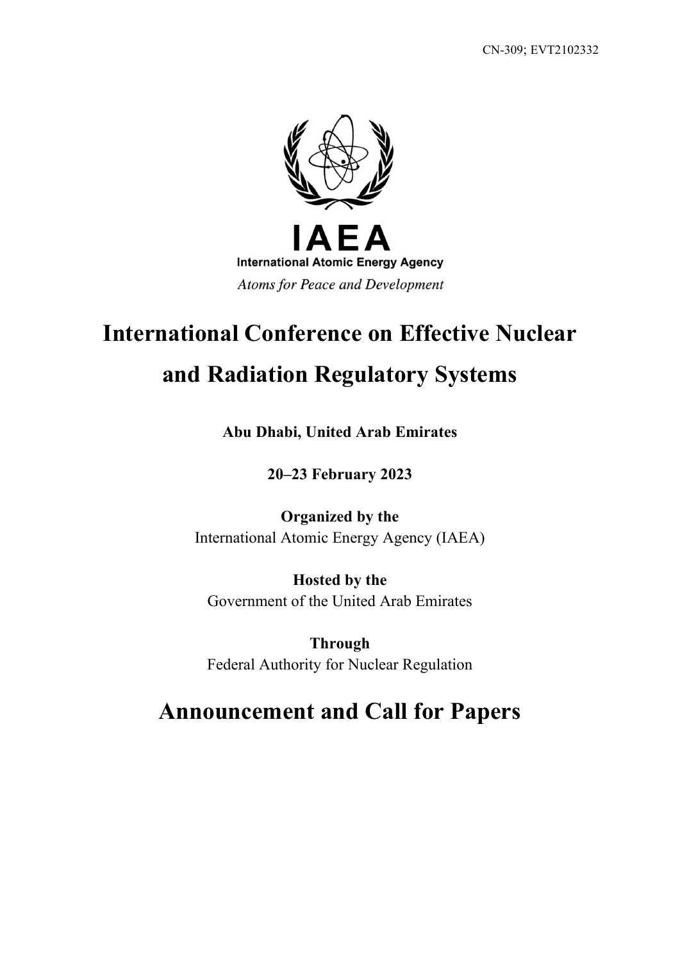

# **International Conference on Effective Nuclear and Radiation Regulatory Systems**

**Abu Dhabi, United Arab Emirates**

**20–23 February 2023**

**Organized by the** International Atomic Energy Agency (IAEA)

**Hosted by the** Government of the United Arab Emirates

**Through** Federal Authority for Nuclear Regulation

# **Announcement and Call for Papers**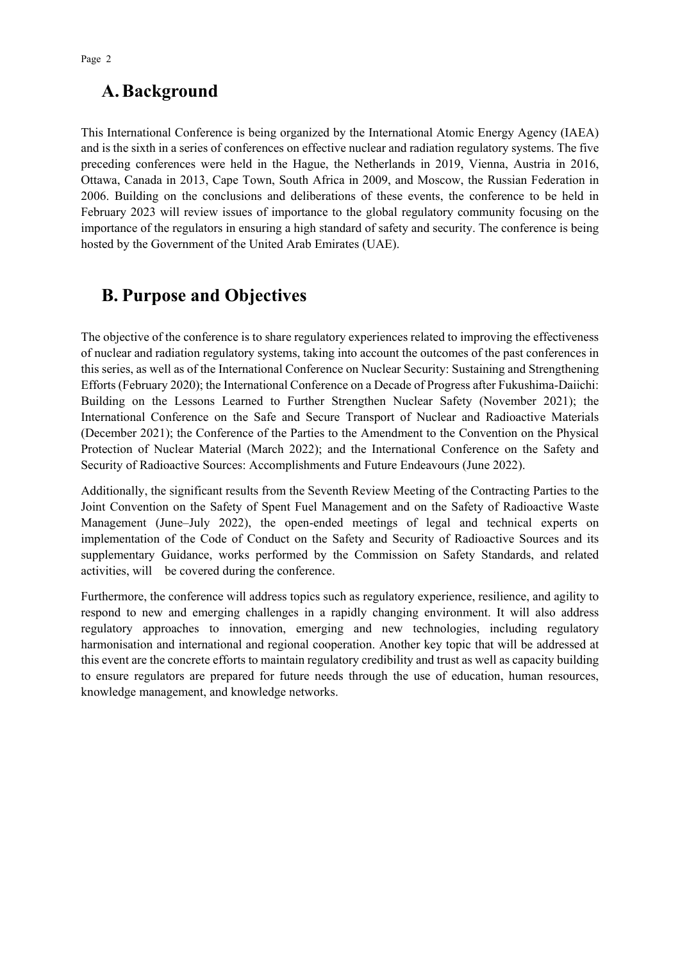# **A.Background**

This International Conference is being organized by the International Atomic Energy Agency (IAEA) and is the sixth in a series of conferences on effective nuclear and radiation regulatory systems. The five preceding conferences were held in the Hague, the Netherlands in 2019, Vienna, Austria in 2016, Ottawa, Canada in 2013, Cape Town, South Africa in 2009, and Moscow, the Russian Federation in 2006. Building on the conclusions and deliberations of these events, the conference to be held in February 2023 will review issues of importance to the global regulatory community focusing on the importance of the regulators in ensuring a high standard of safety and security. The conference is being hosted by the Government of the United Arab Emirates (UAE).

# **B. Purpose and Objectives**

The objective of the conference is to share regulatory experiences related to improving the effectiveness of nuclear and radiation regulatory systems, taking into account the outcomes of the past conferences in this series, as well as of the International Conference on Nuclear Security: Sustaining and Strengthening Efforts (February 2020); the International Conference on a Decade of Progress after Fukushima-Daiichi: Building on the Lessons Learned to Further Strengthen Nuclear Safety (November 2021); the International Conference on the Safe and Secure Transport of Nuclear and Radioactive Materials (December 2021); the Conference of the Parties to the Amendment to the Convention on the Physical Protection of Nuclear Material (March 2022); and the International Conference on the Safety and Security of Radioactive Sources: Accomplishments and Future Endeavours (June 2022).

Additionally, the significant results from the Seventh Review Meeting of the Contracting Parties to the Joint Convention on the Safety of Spent Fuel Management and on the Safety of Radioactive Waste Management (June–July 2022), the open-ended meetings of legal and technical experts on implementation of the Code of Conduct on the Safety and Security of Radioactive Sources and its supplementary Guidance, works performed by the Commission on Safety Standards, and related activities, will be covered during the conference.

Furthermore, the conference will address topics such as regulatory experience, resilience, and agility to respond to new and emerging challenges in a rapidly changing environment. It will also address regulatory approaches to innovation, emerging and new technologies, including regulatory harmonisation and international and regional cooperation. Another key topic that will be addressed at this event are the concrete efforts to maintain regulatory credibility and trust as well as capacity building to ensure regulators are prepared for future needs through the use of education, human resources, knowledge management, and knowledge networks.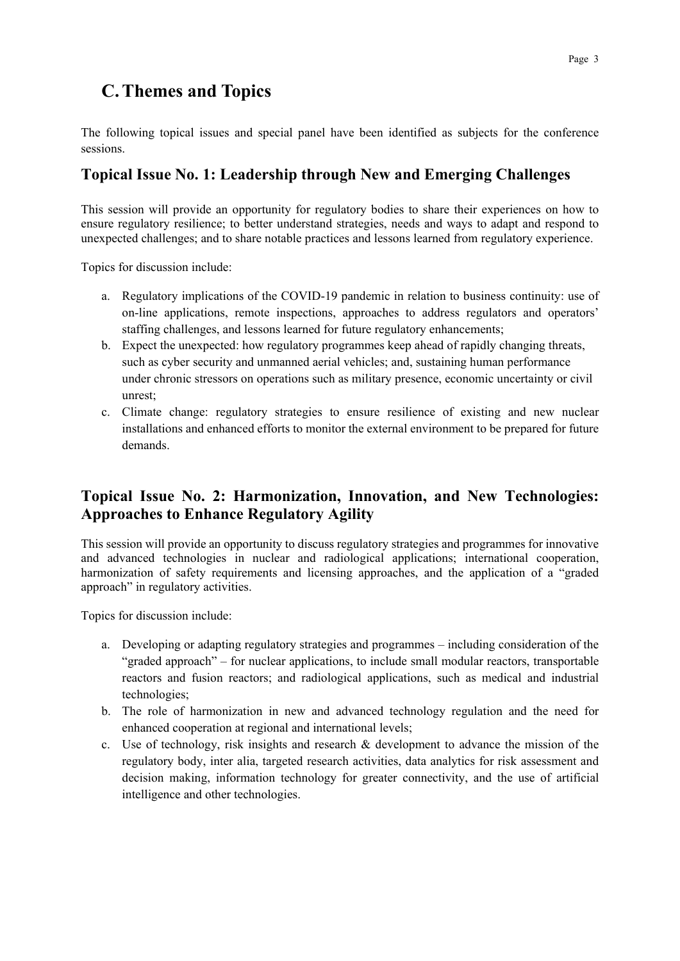# **C.Themes and Topics**

The following topical issues and special panel have been identified as subjects for the conference sessions.

### **Topical Issue No. 1: Leadership through New and Emerging Challenges**

This session will provide an opportunity for regulatory bodies to share their experiences on how to ensure regulatory resilience; to better understand strategies, needs and ways to adapt and respond to unexpected challenges; and to share notable practices and lessons learned from regulatory experience.

Topics for discussion include:

- a. Regulatory implications of the COVID-19 pandemic in relation to business continuity: use of on-line applications, remote inspections, approaches to address regulators and operators' staffing challenges, and lessons learned for future regulatory enhancements;
- b. Expect the unexpected: how regulatory programmes keep ahead of rapidly changing threats, such as cyber security and unmanned aerial vehicles; and, sustaining human performance under chronic stressors on operations such as military presence, economic uncertainty or civil unrest;
- c. Climate change: regulatory strategies to ensure resilience of existing and new nuclear installations and enhanced efforts to monitor the external environment to be prepared for future demands.

### **Topical Issue No. 2: Harmonization, Innovation, and New Technologies: Approaches to Enhance Regulatory Agility**

This session will provide an opportunity to discuss regulatory strategies and programmes for innovative and advanced technologies in nuclear and radiological applications; international cooperation, harmonization of safety requirements and licensing approaches, and the application of a "graded approach" in regulatory activities.

Topics for discussion include:

- a. Developing or adapting regulatory strategies and programmes including consideration of the "graded approach" – for nuclear applications, to include small modular reactors, transportable reactors and fusion reactors; and radiological applications, such as medical and industrial technologies;
- b. The role of harmonization in new and advanced technology regulation and the need for enhanced cooperation at regional and international levels;
- c. Use of technology, risk insights and research & development to advance the mission of the regulatory body, inter alia, targeted research activities, data analytics for risk assessment and decision making, information technology for greater connectivity, and the use of artificial intelligence and other technologies.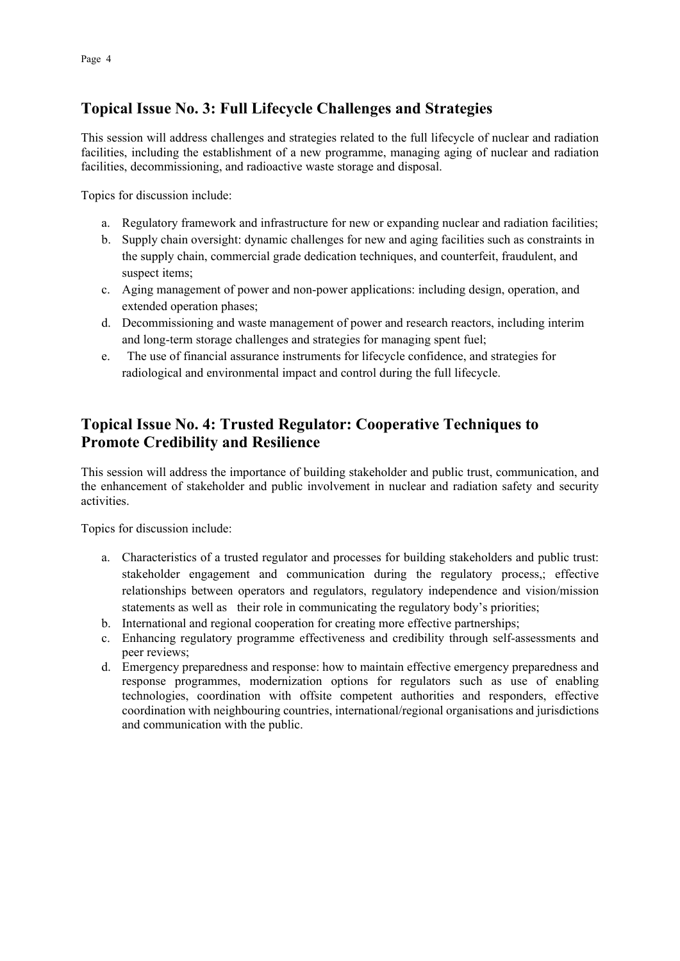### **Topical Issue No. 3: Full Lifecycle Challenges and Strategies**

This session will address challenges and strategies related to the full lifecycle of nuclear and radiation facilities, including the establishment of a new programme, managing aging of nuclear and radiation facilities, decommissioning, and radioactive waste storage and disposal.

Topics for discussion include:

- a. Regulatory framework and infrastructure for new or expanding nuclear and radiation facilities;
- b. Supply chain oversight: dynamic challenges for new and aging facilities such as constraints in the supply chain, commercial grade dedication techniques, and counterfeit, fraudulent, and suspect items;
- c. Aging management of power and non-power applications: including design, operation, and extended operation phases;
- d. Decommissioning and waste management of power and research reactors, including interim and long-term storage challenges and strategies for managing spent fuel;
- e. The use of financial assurance instruments for lifecycle confidence, and strategies for radiological and environmental impact and control during the full lifecycle.

### **Topical Issue No. 4: Trusted Regulator: Cooperative Techniques to Promote Credibility and Resilience**

This session will address the importance of building stakeholder and public trust, communication, and the enhancement of stakeholder and public involvement in nuclear and radiation safety and security activities.

Topics for discussion include:

- a. Characteristics of a trusted regulator and processes for building stakeholders and public trust: stakeholder engagement and communication during the regulatory process,; effective relationships between operators and regulators, regulatory independence and vision/mission statements as well as their role in communicating the regulatory body's priorities;
- b. International and regional cooperation for creating more effective partnerships;
- c. Enhancing regulatory programme effectiveness and credibility through self-assessments and peer reviews;
- d. Emergency preparedness and response: how to maintain effective emergency preparedness and response programmes, modernization options for regulators such as use of enabling technologies, coordination with offsite competent authorities and responders, effective coordination with neighbouring countries, international/regional organisations and jurisdictions and communication with the public.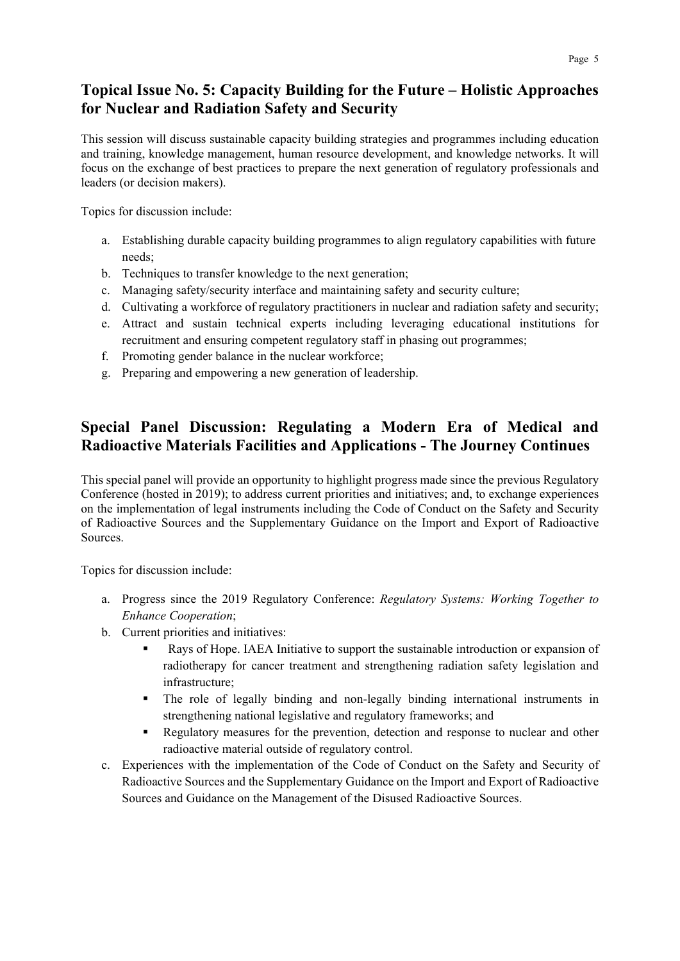### **Topical Issue No. 5: Capacity Building for the Future – Holistic Approaches for Nuclear and Radiation Safety and Security**

This session will discuss sustainable capacity building strategies and programmes including education and training, knowledge management, human resource development, and knowledge networks. It will focus on the exchange of best practices to prepare the next generation of regulatory professionals and leaders (or decision makers).

Topics for discussion include:

- a. Establishing durable capacity building programmes to align regulatory capabilities with future needs;
- b. Techniques to transfer knowledge to the next generation;
- c. Managing safety/security interface and maintaining safety and security culture;
- d. Cultivating a workforce of regulatory practitioners in nuclear and radiation safety and security;
- e. Attract and sustain technical experts including leveraging educational institutions for recruitment and ensuring competent regulatory staff in phasing out programmes;
- f. Promoting gender balance in the nuclear workforce;
- g. Preparing and empowering a new generation of leadership.

### **Special Panel Discussion: Regulating a Modern Era of Medical and Radioactive Materials Facilities and Applications - The Journey Continues**

This special panel will provide an opportunity to highlight progress made since the previous Regulatory Conference (hosted in 2019); to address current priorities and initiatives; and, to exchange experiences on the implementation of legal instruments including the Code of Conduct on the Safety and Security of Radioactive Sources and the Supplementary Guidance on the Import and Export of Radioactive Sources.

Topics for discussion include:

- a. Progress since the 2019 Regulatory Conference: *Regulatory Systems: Working Together to Enhance Cooperation*;
- b. Current priorities and initiatives:
	- Rays of Hope. IAEA Initiative to support the sustainable introduction or expansion of radiotherapy for cancer treatment and strengthening radiation safety legislation and infrastructure;
	- The role of legally binding and non-legally binding international instruments in strengthening national legislative and regulatory frameworks; and
	- Regulatory measures for the prevention, detection and response to nuclear and other radioactive material outside of regulatory control.
- c. Experiences with the implementation of the Code of Conduct on the Safety and Security of Radioactive Sources and the Supplementary Guidance on the Import and Export of Radioactive Sources and Guidance on the Management of the Disused Radioactive Sources.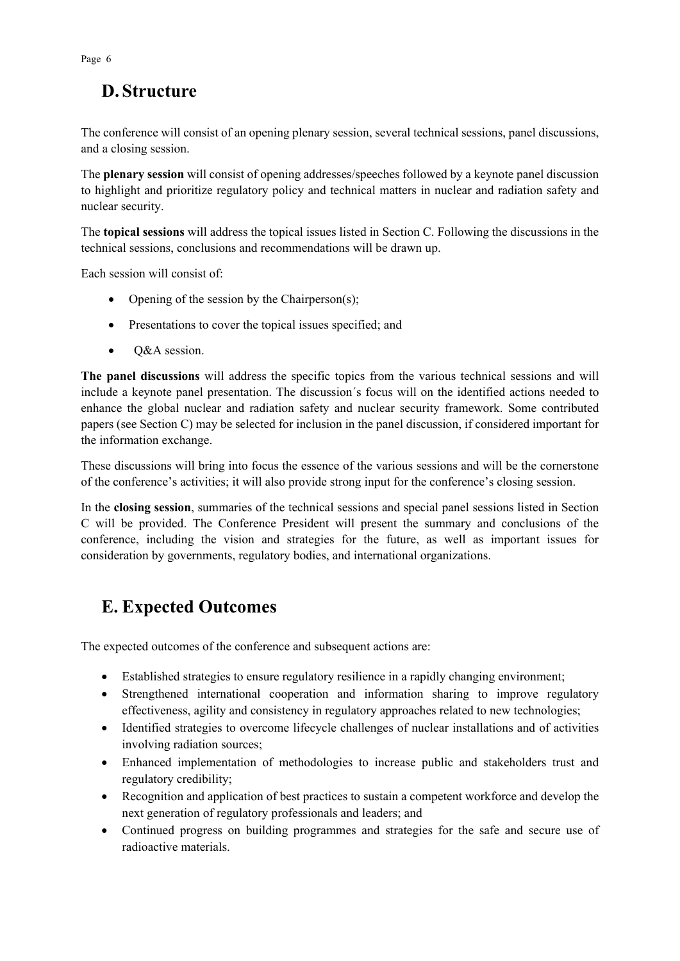# **D. Structure**

The conference will consist of an opening plenary session, several technical sessions, panel discussions, and a closing session.

The **plenary session** will consist of opening addresses/speeches followed by a keynote panel discussion to highlight and prioritize regulatory policy and technical matters in nuclear and radiation safety and nuclear security.

The **topical sessions** will address the topical issues listed in Section C. Following the discussions in the technical sessions, conclusions and recommendations will be drawn up.

Each session will consist of:

- Opening of the session by the Chairperson(s);
- Presentations to cover the topical issues specified; and
- Q&A session.

**The panel discussions** will address the specific topics from the various technical sessions and will include a keynote panel presentation. The discussion´s focus will on the identified actions needed to enhance the global nuclear and radiation safety and nuclear security framework. Some contributed papers (see Section C) may be selected for inclusion in the panel discussion, if considered important for the information exchange.

These discussions will bring into focus the essence of the various sessions and will be the cornerstone of the conference's activities; it will also provide strong input for the conference's closing session.

In the **closing session**, summaries of the technical sessions and special panel sessions listed in Section C will be provided. The Conference President will present the summary and conclusions of the conference, including the vision and strategies for the future, as well as important issues for consideration by governments, regulatory bodies, and international organizations.

# **E. Expected Outcomes**

The expected outcomes of the conference and subsequent actions are:

- Established strategies to ensure regulatory resilience in a rapidly changing environment;
- Strengthened international cooperation and information sharing to improve regulatory effectiveness, agility and consistency in regulatory approaches related to new technologies;
- Identified strategies to overcome lifecycle challenges of nuclear installations and of activities involving radiation sources;
- Enhanced implementation of methodologies to increase public and stakeholders trust and regulatory credibility;
- Recognition and application of best practices to sustain a competent workforce and develop the next generation of regulatory professionals and leaders; and
- Continued progress on building programmes and strategies for the safe and secure use of radioactive materials.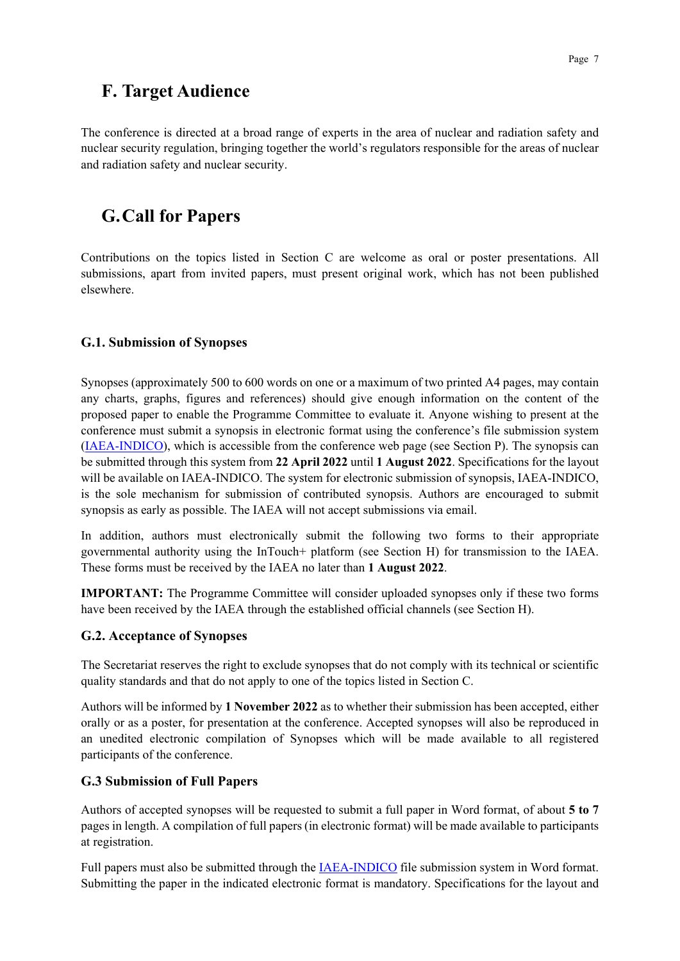## **F. Target Audience**

The conference is directed at a broad range of experts in the area of nuclear and radiation safety and nuclear security regulation, bringing together the world's regulators responsible for the areas of nuclear and radiation safety and nuclear security.

# **G.Call for Papers**

Contributions on the topics listed in Section C are welcome as oral or poster presentations. All submissions, apart from invited papers, must present original work, which has not been published elsewhere.

#### **G.1. Submission of Synopses**

Synopses (approximately 500 to 600 words on one or a maximum of two printed A4 pages, may contain any charts, graphs, figures and references) should give enough information on the content of the proposed paper to enable the Programme Committee to evaluate it. Anyone wishing to present at the conference must submit a synopsis in electronic format using the conference's file submission system [\(IAEA-INDICO\)](https://conferences.iaea.org/), which is accessible from the conference web page (see Section P). The synopsis can be submitted through this system from **22 April 2022** until **1 August 2022**. Specifications for the layout will be available on IAEA-INDICO. The system for electronic submission of synopsis, IAEA-INDICO, is the sole mechanism for submission of contributed synopsis. Authors are encouraged to submit synopsis as early as possible. The IAEA will not accept submissions via email.

In addition, authors must electronically submit the following two forms to their appropriate governmental authority using the InTouch+ platform (see Section H) for transmission to the IAEA. These forms must be received by the IAEA no later than **1 August 2022**.

**IMPORTANT:** The Programme Committee will consider uploaded synopses only if these two forms have been received by the IAEA through the established official channels (see Section H).

#### **G.2. Acceptance of Synopses**

The Secretariat reserves the right to exclude synopses that do not comply with its technical or scientific quality standards and that do not apply to one of the topics listed in Section C.

Authors will be informed by **1 November 2022** as to whether their submission has been accepted, either orally or as a poster, for presentation at the conference. Accepted synopses will also be reproduced in an unedited electronic compilation of Synopses which will be made available to all registered participants of the conference.

#### **G.3 Submission of Full Papers**

Authors of accepted synopses will be requested to submit a full paper in Word format, of about **5 to 7** pages in length. A compilation of full papers (in electronic format) will be made available to participants at registration.

Full papers must also be submitted through the [IAEA-INDICO](https://conferences.iaea.org/) file submission system in Word format. Submitting the paper in the indicated electronic format is mandatory. Specifications for the layout and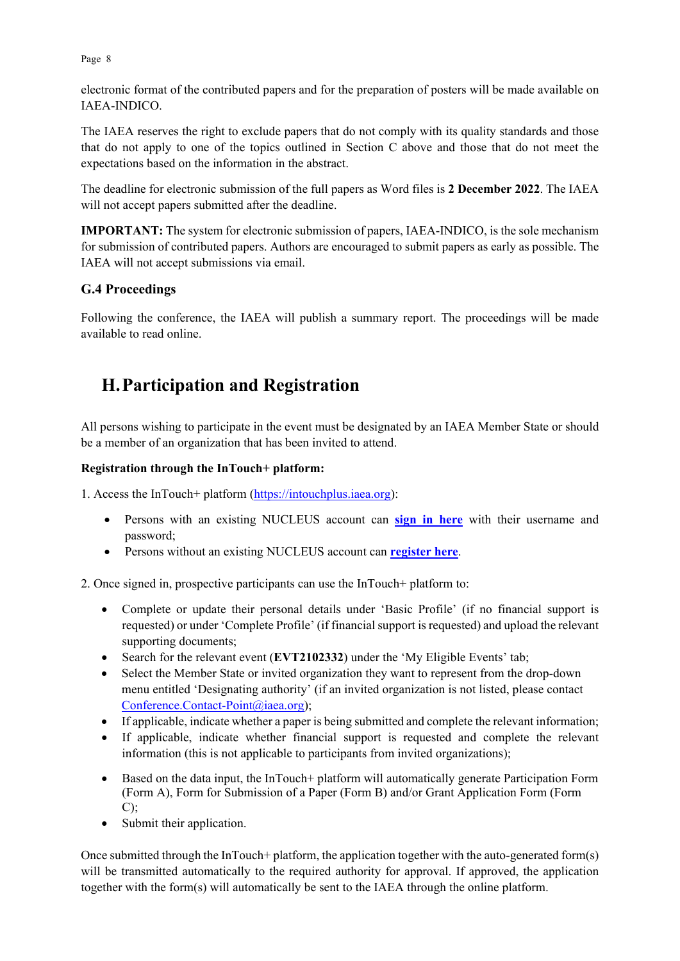Page 8

electronic format of the contributed papers and for the preparation of posters will be made available on IAEA-INDICO.

The IAEA reserves the right to exclude papers that do not comply with its quality standards and those that do not apply to one of the topics outlined in Section C above and those that do not meet the expectations based on the information in the abstract.

The deadline for electronic submission of the full papers as Word files is **2 December 2022**. The IAEA will not accept papers submitted after the deadline.

**IMPORTANT:** The system for electronic submission of papers, IAEA-INDICO, is the sole mechanism for submission of contributed papers. Authors are encouraged to submit papers as early as possible. The IAEA will not accept submissions via email.

#### **G.4 Proceedings**

Following the conference, the IAEA will publish a summary report. The proceedings will be made available to read online.

# **H.Participation and Registration**

All persons wishing to participate in the event must be designated by an IAEA Member State or should be a member of an organization that has been invited to attend.

#### **Registration through the InTouch+ platform:**

1. Access the InTouch+ platform [\(https://intouchplus.iaea.org\)](https://intouchplus.iaea.org/):

- Persons with an existing NUCLEUS account can **[sign in](https://www.iaea.org/resources/databases/intouch-) here** with their username and password;
- Persons without an existing NUCLEUS account can **[register](https://www.iaea.org/resources/databases/intouch-) here**.

2. Once signed in, prospective participants can use the InTouch+ platform to:

- Complete or update their personal details under 'Basic Profile' (if no financial support is requested) or under 'Complete Profile' (if financial support is requested) and upload the relevant supporting documents;
- Search for the relevant event (**EVT2102332**) under the 'My Eligible Events' tab;
- Select the Member State or invited organization they want to represent from the drop-down menu entitled 'Designating authority' (if an invited organization is not listed, please contact [Conference.Contact-Point@iaea.org\)](mailto:Conference.Contact-Point@iaea.org);
- If applicable, indicate whether a paper is being submitted and complete the relevant information;
- If applicable, indicate whether financial support is requested and complete the relevant information (this is not applicable to participants from invited organizations);
- Based on the data input, the InTouch+ platform will automatically generate Participation Form (Form A), Form for Submission of a Paper (Form B) and/or Grant Application Form (Form  $C$ :
- Submit their application.

Once submitted through the InTouch+ platform, the application together with the auto-generated form(s) will be transmitted automatically to the required authority for approval. If approved, the application together with the form(s) will automatically be sent to the IAEA through the online platform.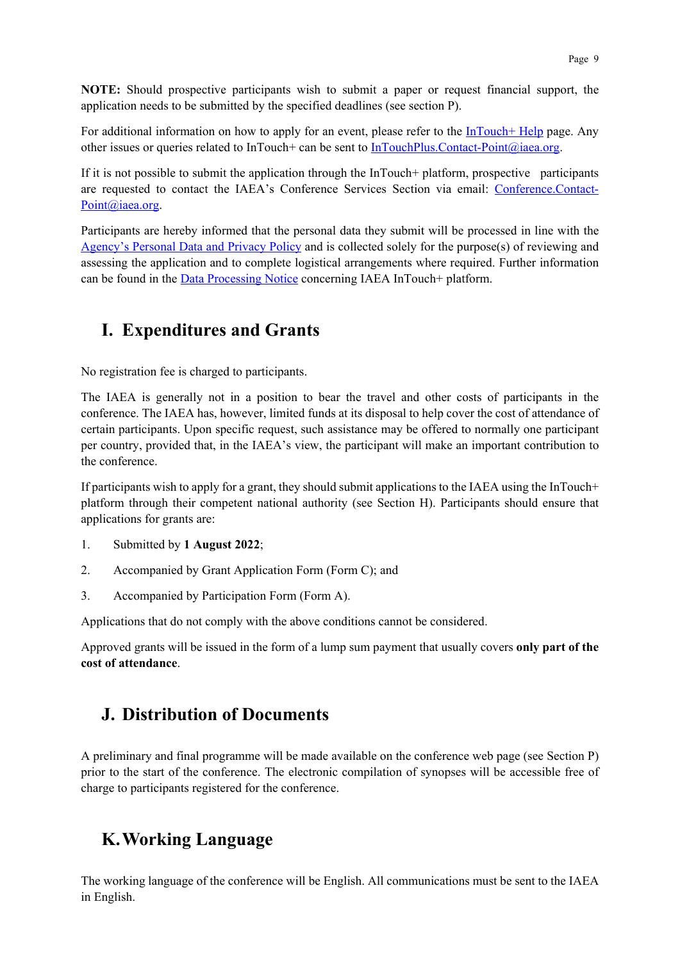**NOTE:** Should prospective participants wish to submit a paper or request financial support, the application needs to be submitted by the specified deadlines (see section P).

For additional information on how to apply for an event, please refer to the [InTouch+ Help](https://nucleus.iaea.org/sites/intouchplushelp/Pages/UsingInTouchPlusHelp.aspx) page. Any other issues or queries related to InTouch+ can be sent to [InTouchPlus.Contact-Point@iaea.org.](mailto:InTouchPlus.Contact-Point@iaea.org)

If it is not possible to submit the application through the InTouch+ platform, prospective participants are requested to contact the IAEA's Conference Services Section via email: [Conference.Contact-](mailto:Conference.Contact-Point@iaea.org)[Point@iaea.org.](mailto:Conference.Contact-Point@iaea.org)

Participants are hereby informed that the personal data they submit will be processed in line with the [Agency's Personal Data and Privacy Policy](https://www.iaea.org/about/privacy-policy#:%7E:text=The%20IAEA%20is%20committed%20to,accountable%20and%20non%2Ddiscriminatory%20manner.&text=The%20Privacy%20Policy%20provides%20the,carrying%20out%20its%20mandated%20activities.) and is collected solely for the purpose(s) of reviewing and assessing the application and to complete logistical arrangements where required. Further information can be found in the [Data Processing Notice](https://nucleus.iaea.org/sites/intouchplushelp/Documents/itp_dpn.pdf) concerning IAEA InTouch+ platform.

## **I. Expenditures and Grants**

No registration fee is charged to participants.

The IAEA is generally not in a position to bear the travel and other costs of participants in the conference. The IAEA has, however, limited funds at its disposal to help cover the cost of attendance of certain participants. Upon specific request, such assistance may be offered to normally one participant per country, provided that, in the IAEA's view, the participant will make an important contribution to the conference.

If participants wish to apply for a grant, they should submit applications to the IAEA using the InTouch+ platform through their competent national authority (see Section H). Participants should ensure that applications for grants are:

- 1. Submitted by **1 August 2022**;
- 2. Accompanied by Grant Application Form (Form C); and
- 3. Accompanied by Participation Form (Form A).

Applications that do not comply with the above conditions cannot be considered.

Approved grants will be issued in the form of a lump sum payment that usually covers **only part of the cost of attendance**.

## **J. Distribution of Documents**

A preliminary and final programme will be made available on the conference web page (see Section P) prior to the start of the conference. The electronic compilation of synopses will be accessible free of charge to participants registered for the conference.

# **K.Working Language**

The working language of the conference will be English. All communications must be sent to the IAEA in English.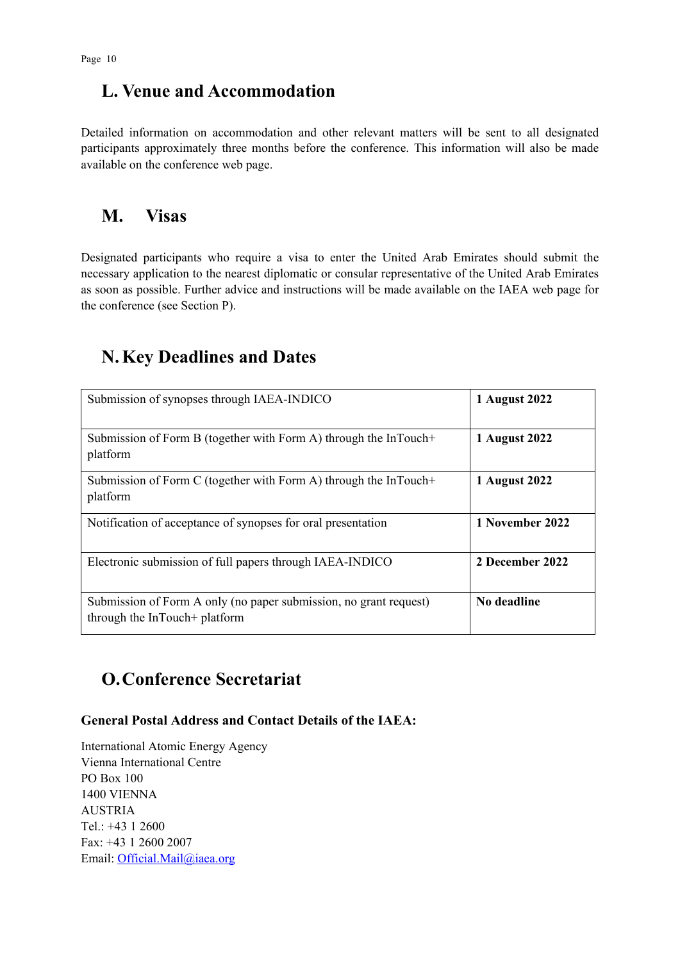## **L. Venue and Accommodation**

Detailed information on accommodation and other relevant matters will be sent to all designated participants approximately three months before the conference. This information will also be made available on the conference web page.

### **M. Visas**

Designated participants who require a visa to enter the United Arab Emirates should submit the necessary application to the nearest diplomatic or consular representative of the United Arab Emirates as soon as possible. Further advice and instructions will be made available on the IAEA web page for the conference (see Section P).

# **N.Key Deadlines and Dates**

| Submission of synopses through IAEA-INDICO                                                         | 1 August 2022   |
|----------------------------------------------------------------------------------------------------|-----------------|
| Submission of Form B (together with Form A) through the InTouch+<br>platform                       | 1 August 2022   |
| Submission of Form C (together with Form A) through the InTouch+<br>platform                       | 1 August 2022   |
| Notification of acceptance of synopses for oral presentation                                       | 1 November 2022 |
| Electronic submission of full papers through IAEA-INDICO                                           | 2 December 2022 |
| Submission of Form A only (no paper submission, no grant request)<br>through the InTouch+ platform | No deadline     |

# **O.Conference Secretariat**

#### **General Postal Address and Contact Details of the IAEA:**

International Atomic Energy Agency Vienna International Centre PO Box 100 1400 VIENNA AUSTRIA Tel.: +43 1 2600 Fax: +43 1 2600 2007 Email: [Official.Mail@iaea.org](mailto:official.mail@iaea.org)